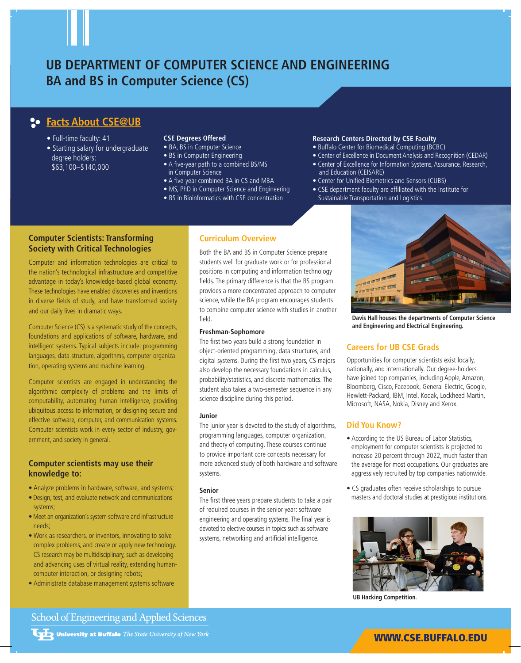# **UB DEPARTMENT OF COMPUTER SCIENCE AND ENGINEERING BA and BS in Computer Science (CS)**

## **Facts About CSE@UB**

- Full-time faculty: 41
- Starting salary for undergraduate degree holders: \$63,100–\$140,000

#### **CSE Degrees Offered**

- BA, BS in Computer Science
- BS in Computer Engineering
- A five-year path to a combined BS/MS in Computer Science
- A five-year combined BA in CS and MBA
- MS, PhD in Computer Science and Engineering
- BS in Bioinformatics with CSE concentration

#### **Research Centers Directed by CSE Faculty**

- Buffalo Center for Biomedical Computing (BCBC)
- Center of Excellence in Document Analysis and Recognition (CEDAR) • Center of Excellence for Information Systems, Assurance, Research, and Education (CEISARE)
- Center for Unified Biometrics and Sensors (CUBS)
- CSE department faculty are affiliated with the Institute for Sustainable Transportation and Logistics

### **Computer Scientists: Transforming Society with Critical Technologies**

Computer and information technologies are critical to the nation's technological infrastructure and competitive advantage in today's knowledge-based global economy. These technologies have enabled discoveries and inventions in diverse fields of study, and have transformed society and our daily lives in dramatic ways.

Computer Science (CS) is a systematic study of the concepts, foundations and applications of software, hardware, and intelligent systems. Typical subjects include: programming languages, data structure, algorithms, computer organization, operating systems and machine learning.

Computer scientists are engaged in understanding the algorithmic complexity of problems and the limits of computability, automating human intelligence, providing ubiquitous access to information, or designing secure and effective software, computer, and communication systems. Computer scientists work in every sector of industry, government, and society in general.

## **Computer scientists may use their knowledge to:**

- Analyze problems in hardware, software, and systems;
- Design, test, and evaluate network and communications systems;
- Meet an organization's system software and infrastructure needs;
- Work as researchers, or inventors, innovating to solve complex problems, and create or apply new technology. CS research may be multidisciplinary, such as developing and advancing uses of virtual reality, extending humancomputer interaction, or designing robots;
- Administrate database management systems software

## **Curriculum Overview**

Both the BA and BS in Computer Science prepare students well for graduate work or for professional positions in computing and information technology fields. The primary difference is that the BS program provides a more concentrated approach to computer science, while the BA program encourages students to combine computer science with studies in another field.

#### **Freshman-Sophomore**

The first two years build a strong foundation in object-oriented programming, data structures, and digital systems. During the first two years, CS majors also develop the necessary foundations in calculus, probability/statistics, and discrete mathematics. The student also takes a two-semester sequence in any science discipline during this period.

#### **Junior**

The junior year is devoted to the study of algorithms, programming languages, computer organization, and theory of computing. These courses continue to provide important core concepts necessary for more advanced study of both hardware and software systems.

#### **Senior**

The first three years prepare students to take a pair of required courses in the senior year: software engineering and operating systems. The final year is devoted to elective courses in topics such as software systems, networking and artificial intelligence.



**Davis Hall houses the departments of Computer Science and Engineering and Electrical Engineering.**

## **Careers for UB CSE Grads**

Opportunities for computer scientists exist locally, nationally, and internationally. Our degree-holders have joined top companies, including Apple, Amazon, Bloomberg, Cisco, Facebook, General Electric, Google, Hewlett-Packard, IBM, Intel, Kodak, Lockheed Martin, Microsoft, NASA, Nokia, Disney and Xerox.

## **Did You Know?**

- According to the US Bureau of Labor Statistics, employment for computer scientists is projected to increase 20 percent through 2022, much faster than the average for most occupations. Our graduates are aggressively recruited by top companies nationwide.
- CS graduates often receive scholarships to pursue masters and doctoral studies at prestigious institutions.



**UB Hacking Competition.**

## School of Engineering and Applied Sciences

**University at Buffalo** The State University of New York

## WWW.CSE.BUFFALO.EDU